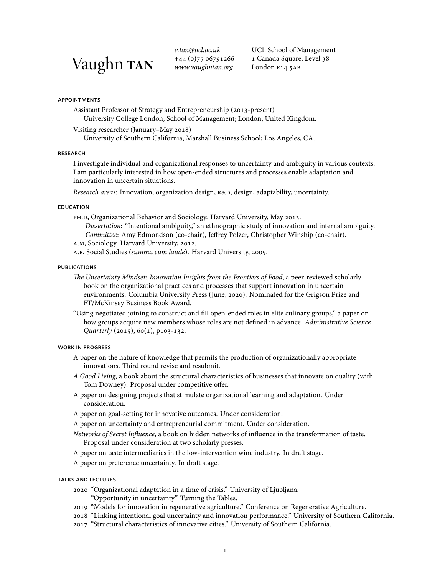# Vaughn TAN

*v.tan@ucl.ac.uk*  $+44(0)7506791266$ *www.vaughntan.org*

UCL School of Management 1 Canada Square, Level 38 London E14 5AB

# appointments

Assistant Professor of Strategy and Entrepreneurship (2013-present)

University College London, School of Management; London, United Kingdom.

Visiting researcher (January-May 2018)

University of Southern California, Marshall Business School; Los Angeles, CA.

## **RESEARCH**

I investigate individual and organizational responses to uncertainty and ambiguity in various contexts. I am particularly interested in how open-ended structures and processes enable adaptation and innovation in uncertain situations.

*Research areas*: Innovation, organization design, R&D, design, adaptability, uncertainty.

# **EDUCATION**

PH.D, Organizational Behavior and Sociology. Harvard University, May 2013.

*Dissertation*: "Intentional ambiguity," an ethnographic study of innovation and internal ambiguity. *Committee*: Amy Edmondson (co-chair), Jeffrey Polzer, Christopher Winship (co-chair).

A.M, Sociology. Harvard University, 2012.

a.b, Social Studies (summa cum laude). Harvard University, 2005.

## **PUBLICATIONS**

*The Uncertainty Mindset: Innovation Insights from the Frontiers of Food*, a peer-reviewed scholarly book on the organizational practices and processes that support innovation in uncertain environments. Columbia University Press (June, 2020). Nominated for the Grigson Prize and FT/McKinsey Business Book Award.

"Using negotiated joining to construct and fill open-ended roles in elite culinary groups," a paper on how groups acquire new members whose roles are not defined in advance. *Administrative Science Quarterly* (2015), 60(1), p103-132.

## work in progress

- A paper on the nature of knowledge that permits the production of organizationally appropriate innovations. Third round revise and resubmit.
- *A Good Living*, a book about the structural characteristics of businesses that innovate on quality (with Tom Downey). Proposal under competitive offer.
- A paper on designing projects that stimulate organizational learning and adaptation. Under consideration.
- A paper on goal-setting for innovative outcomes. Under consideration.
- A paper on uncertainty and entrepreneurial commitment. Under consideration.
- *Networks of Secret Influence*, a book on hidden networks of influence in the transformation of taste. Proposal under consideration at two scholarly presses.
- A paper on taste intermediaries in the low-intervention wine industry. In draft stage.
- A paper on preference uncertainty. In draft stage.

# talks and lectures

- "Organizational adaptation in a time of crisis." University of Ljubljana.
	- "Opportunity in uncertainty." Turning the Tables.
- "Models for innovation in regenerative agriculture." Conference on Regenerative Agriculture.
- "Linking intentional goal uncertainty and innovation performance." University of Southern California.
- "Structural characteristics of innovative cities." University of Southern California.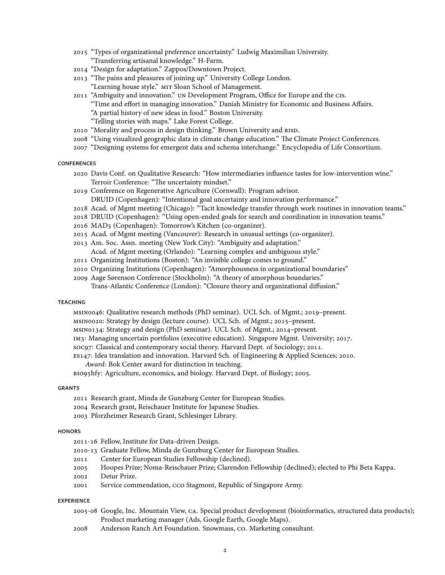- "Types of organizational preference uncertainty." Ludwig Maximilian University. "Transferring artisanal knowledge." H-Farm.
- 2014 "Design for adaptation." Zappos/Downtown Project.
- 2013 "The pains and pleasures of joining up." University College London. "Learning house style." mit Sloan School of Management.
- "Ambiguity and innovation." un Development Program, Office for Europe and the cis.
	- "Time and effort in managing innovation." Danish Ministry for Economic and Business Affairs.
		- "A partial history of new ideas in food." Boston University.
		- "Telling stories with maps." Lake Forest College.
- 2010 "Morality and process in design thinking." Brown University and RISD.
- "Using visualized geographic data in climate change education." The Climate Project Conferences.
- "Designing systems for emergent data and schema interchange." Encyclopedia of Life Consortium.

# **CONFERENCES**

- Davis Conf. on Qualitative Research: "How intermediaries influence tastes for low-intervention wine." Terroir Conference: "The uncertainty mindset."
- Conference on Regenerative Agriculture (Cornwall): Program advisor. DRUID (Copenhagen): "Intentional goal uncertainty and innovation performance."
- 2018 Acad. of Mgmt meeting (Chicago): "Tacit knowledge transfer through work routines in innovation teams."
- 2018 DRUID (Copenhagen): "Using open-ended goals for search and coordination in innovation teams."
- 2016 MAD5 (Copenhagen): Tomorrow's Kitchen (co-organizer).
- Acad. of Mgmt meeting (Vancouver): Research in unusual settings (co-organizer).
- Am. Soc. Assn. meeting (New York City): "Ambiguity and adaptation." Acad. of Mgmt meeting (Orlando): "Learning complex and ambiguous style."
- Organizing Institutions (Boston): "An invisible college comes to ground."
- 2010 Organizing Institutions (Copenhagen): "Amorphousness in organizational boundaries"
- Aage Sørenson Conference (Stockholm): "A theory of amorphous boundaries." Trans-Atlantic Conference (London): "Closure theory and organizational diffusion."

#### **TEACHING**

msino046: Qualitative research methods (PhD seminar). UCL Sch. of Mgmt.; 2019-present.

msinoo20: Strategy by design (lecture course). UCL Sch. of Mgmt.; 2015-present.

msin0134: Strategy and design (PhD seminar). UCL Sch. of Mgmt.; 2014-present.

- IM3: Managing uncertain portfolios (executive education). Singapore Mgmt. University; 2017.
- soc97: Classical and contemporary social theory. Harvard Dept. of Sociology; 2011.

ES147: Idea translation and innovation. Harvard Sch. of Engineering & Applied Sciences; 2010.

*Award*: Bok Center award for distinction in teaching.

BIO95hfy: Agriculture, economics, and biology. Harvard Dept. of Biology; 2005.

#### **GRANTS**

- 2011 Research grant, Minda de Gunzburg Center for European Studies.
- 2004 Research grant, Reischauer Institute for Japanese Studies.
- Pforzheimer Research Grant, Schlesinger Library.

#### **HONORS**

- 2011-16 Fellow, Institute for Data-driven Design.
- Graduate Fellow, Minda de Gunzburg Center for European Studies.
- Center for European Studies Fellowship (declined).
- Hoopes Prize; Noma-Reischauer Prize; Clarendon Fellowship (declined); elected to Phi Beta Kappa.
- Detur Prize.
- 2001 Service commendation, CCO Stagmont, Republic of Singapore Army.

#### **EXPERIENCE**

- Google, Inc. Mountain View, ca. Special product development (bioinformatics, structured data products); Product marketing manager (Ads, Google Earth, Google Maps).
- Anderson Ranch Art Foundation. Snowmass, co. Marketing consultant.